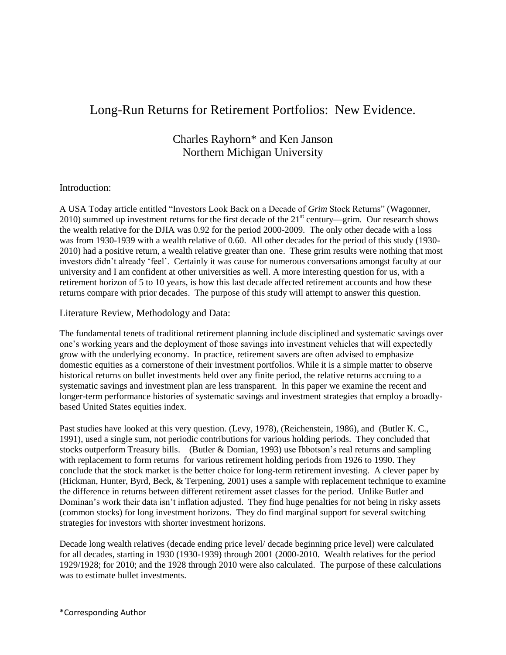# Long-Run Returns for Retirement Portfolios: New Evidence.

# Charles Rayhorn\* and Ken Janson Northern Michigan University

#### Introduction:

A USA Today article entitled "Investors Look Back on a Decade of *Grim* Stock Returns" (Wagonner, 2010) summed up investment returns for the first decade of the  $21<sup>st</sup>$  century—grim. Our research shows the wealth relative for the DJIA was 0.92 for the period 2000-2009. The only other decade with a loss was from 1930-1939 with a wealth relative of 0.60. All other decades for the period of this study (1930- 2010) had a positive return, a wealth relative greater than one. These grim results were nothing that most investors didn't already 'feel'. Certainly it was cause for numerous conversations amongst faculty at our university and I am confident at other universities as well. A more interesting question for us, with a retirement horizon of 5 to 10 years, is how this last decade affected retirement accounts and how these returns compare with prior decades. The purpose of this study will attempt to answer this question.

Literature Review, Methodology and Data:

The fundamental tenets of traditional retirement planning include disciplined and systematic savings over one's working years and the deployment of those savings into investment vehicles that will expectedly grow with the underlying economy. In practice, retirement savers are often advised to emphasize domestic equities as a cornerstone of their investment portfolios. While it is a simple matter to observe historical returns on bullet investments held over any finite period, the relative returns accruing to a systematic savings and investment plan are less transparent. In this paper we examine the recent and longer-term performance histories of systematic savings and investment strategies that employ a broadlybased United States equities index.

Past studies have looked at this very question. (Levy, 1978), (Reichenstein, 1986), and (Butler K. C., 1991), used a single sum, not periodic contributions for various holding periods. They concluded that stocks outperform Treasury bills. (Butler & Domian, 1993) use Ibbotson's real returns and sampling with replacement to form returns for various retirement holding periods from 1926 to 1990. They conclude that the stock market is the better choice for long-term retirement investing. A clever paper by (Hickman, Hunter, Byrd, Beck, & Terpening, 2001) uses a sample with replacement technique to examine the difference in returns between different retirement asset classes for the period. Unlike Butler and Dominan's work their data isn't inflation adjusted. They find huge penalties for not being in risky assets (common stocks) for long investment horizons. They do find marginal support for several switching strategies for investors with shorter investment horizons.

Decade long wealth relatives (decade ending price level/ decade beginning price level) were calculated for all decades, starting in 1930 (1930-1939) through 2001 (2000-2010. Wealth relatives for the period 1929/1928; for 2010; and the 1928 through 2010 were also calculated. The purpose of these calculations was to estimate bullet investments.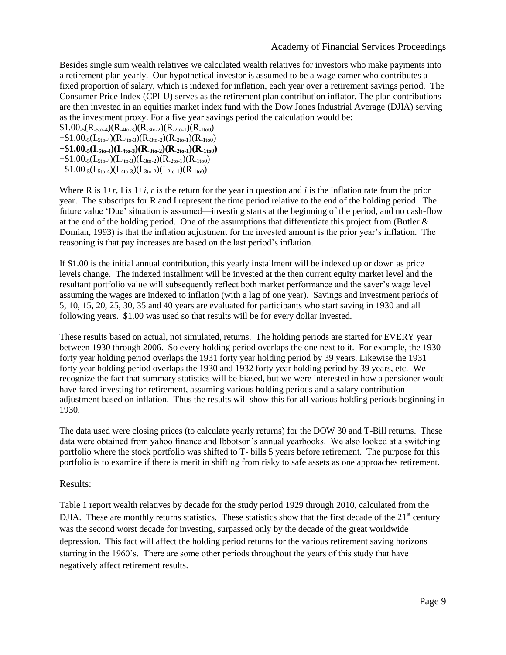Besides single sum wealth relatives we calculated wealth relatives for investors who make payments into a retirement plan yearly. Our hypothetical investor is assumed to be a wage earner who contributes a fixed proportion of salary, which is indexed for inflation, each year over a retirement savings period. The Consumer Price Index (CPI-U) serves as the retirement plan contribution inflator. The plan contributions are then invested in an equities market index fund with the Dow Jones Industrial Average (DJIA) serving as the investment proxy. For a five year savings period the calculation would be:

 $$1.00_{-5}(R_{-5t0-4})(R_{-4t0-3})(R_{-3t0-2})(R_{-2t0-1})(R_{-1t00})$  $+ $1.00_{-5}(L_{5t0-4})(R_{-4t0-3})(R_{-3t0-2})(R_{-2t0-1})(R_{-1t00})$  $+$ **\$1.00**<sub>**-5</sub>** $(\mathbf{I}_{\text{-}5t0-4})(\mathbf{I}_{\text{-}4t0-3})(\mathbf{R}_{\text{-}3t0-2})(\mathbf{R}_{\text{-}2t0-1})(\mathbf{R}_{\text{-}1t00})$ **</sub>** 

 $+\$1.00_{-5}(I_{-5to-4})(I_{-4to-3})(I_{-3to-2})(R_{-2to-1})(R_{-1to0})$ 

 $+\$1.00_{-5}(I_{-5t0-4})(I_{-4t0-3})(I_{-3t0-2})(I_{-2t0-1})(R_{-1t00})$ 

Where R is  $1+r$ , I is  $1+i$ , r is the return for the year in question and *i* is the inflation rate from the prior year. The subscripts for R and I represent the time period relative to the end of the holding period. The future value 'Due' situation is assumed—investing starts at the beginning of the period, and no cash-flow at the end of the holding period. One of the assumptions that differentiate this project from (Butler & Domian, 1993) is that the inflation adjustment for the invested amount is the prior year's inflation. The reasoning is that pay increases are based on the last period's inflation.

If \$1.00 is the initial annual contribution, this yearly installment will be indexed up or down as price levels change. The indexed installment will be invested at the then current equity market level and the resultant portfolio value will subsequently reflect both market performance and the saver's wage level assuming the wages are indexed to inflation (with a lag of one year). Savings and investment periods of 5, 10, 15, 20, 25, 30, 35 and 40 years are evaluated for participants who start saving in 1930 and all following years. \$1.00 was used so that results will be for every dollar invested.

These results based on actual, not simulated, returns. The holding periods are started for EVERY year between 1930 through 2006. So every holding period overlaps the one next to it. For example, the 1930 forty year holding period overlaps the 1931 forty year holding period by 39 years. Likewise the 1931 forty year holding period overlaps the 1930 and 1932 forty year holding period by 39 years, etc. We recognize the fact that summary statistics will be biased, but we were interested in how a pensioner would have fared investing for retirement, assuming various holding periods and a salary contribution adjustment based on inflation. Thus the results will show this for all various holding periods beginning in 1930.

The data used were closing prices (to calculate yearly returns) for the DOW 30 and T-Bill returns. These data were obtained from yahoo finance and Ibbotson's annual yearbooks. We also looked at a switching portfolio where the stock portfolio was shifted to T- bills 5 years before retirement. The purpose for this portfolio is to examine if there is merit in shifting from risky to safe assets as one approaches retirement.

#### Results:

Table 1 report wealth relatives by decade for the study period 1929 through 2010, calculated from the DJIA. These are monthly returns statistics. These statistics show that the first decade of the  $21<sup>st</sup>$  century was the second worst decade for investing, surpassed only by the decade of the great worldwide depression. This fact will affect the holding period returns for the various retirement saving horizons starting in the 1960's. There are some other periods throughout the years of this study that have negatively affect retirement results.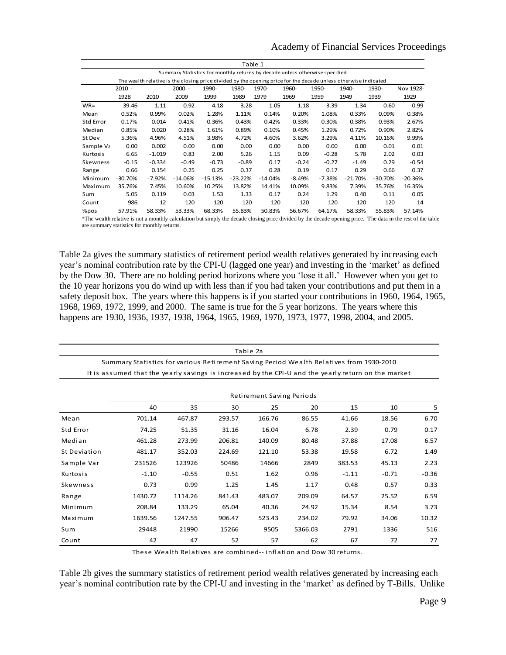#### Academy of Financial Services Proceedings

| Table 1                                                                                                         |           |          |           |           |           |           |          |          |           |           |           |
|-----------------------------------------------------------------------------------------------------------------|-----------|----------|-----------|-----------|-----------|-----------|----------|----------|-----------|-----------|-----------|
| Summary Statistics for monthly returns by decade unless otherwise specified                                     |           |          |           |           |           |           |          |          |           |           |           |
| The wealth relative is the closing price divided by the opening price for the decade unless otherwise indicated |           |          |           |           |           |           |          |          |           |           |           |
|                                                                                                                 | $2010 -$  |          | $2000 -$  | 1990-     | 1980-     | 1970-     | 1960-    | 1950-    | 1940-     | 1930-     | Nov 1928- |
|                                                                                                                 | 1928      | 2010     | 2009      | 1999      | 1989      | 1979      | 1969     | 1959     | 1949      | 1939      | 1929      |
| $WR=$                                                                                                           | 39.46     | 1.11     | 0.92      | 4.18      | 3.28      | 1.05      | 1.18     | 3.39     | 1.34      | 0.60      | 0.99      |
| Mean                                                                                                            | 0.52%     | 0.99%    | 0.02%     | 1.28%     | 1.11%     | 0.14%     | 0.20%    | 1.08%    | 0.33%     | 0.09%     | 0.38%     |
| <b>Std Error</b>                                                                                                | 0.17%     | 0.014    | 0.41%     | 0.36%     | 0.43%     | 0.42%     | 0.33%    | 0.30%    | 0.38%     | 0.93%     | 2.67%     |
| Median                                                                                                          | 0.85%     | 0.020    | 0.28%     | 1.61%     | 0.89%     | 0.10%     | 0.45%    | 1.29%    | 0.72%     | 0.90%     | 2.82%     |
| St Dev                                                                                                          | 5.36%     | 4.96%    | 4.51%     | 3.98%     | 4.72%     | 4.60%     | 3.62%    | 3.29%    | 4.11%     | 10.16%    | 9.99%     |
| Sample Va                                                                                                       | 0.00      | 0.002    | 0.00      | 0.00      | 0.00      | 0.00      | 0.00     | 0.00     | 0.00      | 0.01      | 0.01      |
| Kurtosis                                                                                                        | 6.65      | $-1.019$ | 0.83      | 2.00      | 5.26      | 1.15      | 0.09     | $-0.28$  | 5.78      | 2.02      | 0.03      |
| Skewness                                                                                                        | $-0.15$   | $-0.334$ | $-0.49$   | $-0.73$   | $-0.89$   | 0.17      | $-0.24$  | $-0.27$  | $-1.49$   | 0.29      | $-0.54$   |
| Range                                                                                                           | 0.66      | 0.154    | 0.25      | 0.25      | 0.37      | 0.28      | 0.19     | 0.17     | 0.29      | 0.66      | 0.37      |
| Minimum                                                                                                         | $-30.70%$ | $-7.92%$ | $-14.06%$ | $-15.13%$ | $-23.22%$ | $-14.04%$ | $-8.49%$ | $-7.38%$ | $-21.70%$ | $-30.70%$ | $-20.36%$ |
| Maximum                                                                                                         | 35.76%    | 7.45%    | 10.60%    | 10.25%    | 13.82%    | 14.41%    | 10.09%   | 9.83%    | 7.39%     | 35.76%    | 16.35%    |
| Sum                                                                                                             | 5.05      | 0.119    | 0.03      | 1.53      | 1.33      | 0.17      | 0.24     | 1.29     | 0.40      | 0.11      | 0.05      |
| Count                                                                                                           | 986       | 12       | 120       | 120       | 120       | 120       | 120      | 120      | 120       | 120       | 14        |
| %pos                                                                                                            | 57.91%    | 58.33%   | 53.33%    | 68.33%    | 55.83%    | 50.83%    | 56.67%   | 64.17%   | 58.33%    | 55.83%    | 57.14%    |

\*The wealth relative is not a monthly calculation but simply the decade closing price divided by the decade opening price. The data in the rest of the table are summary statistics for monthly returns.

Table 2a gives the summary statistics of retirement period wealth relatives generated by increasing each year's nominal contribution rate by the CPI-U (lagged one year) and investing in the 'market' as defined by the Dow 30. There are no holding period horizons where you 'lose it all.' However when you get to the 10 year horizons you do wind up with less than if you had taken your contributions and put them in a safety deposit box. The years where this happens is if you started your contributions in 1960, 1964, 1965, 1968, 1969, 1972, 1999, and 2000. The same is true for the 5 year horizons. The years where this happens are 1930, 1936, 1937, 1938, 1964, 1965, 1969, 1970, 1973, 1977, 1998, 2004, and 2005.

| Table 2a                                                                                            |                           |         |        |        |         |         |         |         |  |  |  |
|-----------------------------------------------------------------------------------------------------|---------------------------|---------|--------|--------|---------|---------|---------|---------|--|--|--|
| Summary Statistics for various Retirement Saving Period Wealth Relatives from 1930-2010             |                           |         |        |        |         |         |         |         |  |  |  |
| It is assumed that the yearly savings is increased by the CPI-U and the yearly return on the market |                           |         |        |        |         |         |         |         |  |  |  |
|                                                                                                     |                           |         |        |        |         |         |         |         |  |  |  |
|                                                                                                     | Retirement Saving Periods |         |        |        |         |         |         |         |  |  |  |
|                                                                                                     | 40                        | 35      | 30     | 25     | 20      | 15      | 10      | 5       |  |  |  |
| Mean                                                                                                | 701.14                    | 467.87  | 293.57 | 166.76 | 86.55   | 41.66   | 18.56   | 6.70    |  |  |  |
| Std Error                                                                                           | 74.25                     | 51.35   | 31.16  | 16.04  | 6.78    | 2.39    | 0.79    | 0.17    |  |  |  |
| Median                                                                                              | 461.28                    | 273.99  | 206.81 | 140.09 | 80.48   | 37.88   | 17.08   | 6.57    |  |  |  |
| St Deviation                                                                                        | 481.17                    | 352.03  | 224.69 | 121.10 | 53.38   | 19.58   | 6.72    | 1.49    |  |  |  |
| Sample Var                                                                                          | 231526                    | 123926  | 50486  | 14666  | 2849    | 383.53  | 45.13   | 2.23    |  |  |  |
| Kurtosis                                                                                            | $-1.10$                   | $-0.55$ | 0.51   | 1.62   | 0.96    | $-1.11$ | $-0.71$ | $-0.36$ |  |  |  |
| Skewness                                                                                            | 0.73                      | 0.99    | 1.25   | 1.45   | 1.17    | 0.48    | 0.57    | 0.33    |  |  |  |
| Range                                                                                               | 1430.72                   | 1114.26 | 841.43 | 483.07 | 209.09  | 64.57   | 25.52   | 6.59    |  |  |  |
| Minimum                                                                                             | 208.84                    | 133.29  | 65.04  | 40.36  | 24.92   | 15.34   | 8.54    | 3.73    |  |  |  |
| Maximum                                                                                             | 1639.56                   | 1247.55 | 906.47 | 523.43 | 234.02  | 79.92   | 34.06   | 10.32   |  |  |  |
| Sum                                                                                                 | 29448                     | 21990   | 15266  | 9505   | 5366.03 | 2791    | 1336    | 516     |  |  |  |
| Count                                                                                               | 42                        | 47      | 52     | 57     | 62      | 67      | 72      | 77      |  |  |  |

These Wealth Relatives are combined-- inflation and Dow 30 returns.

Table 2b gives the summary statistics of retirement period wealth relatives generated by increasing each year's nominal contribution rate by the CPI-U and investing in the 'market' as defined by T-Bills. Unlike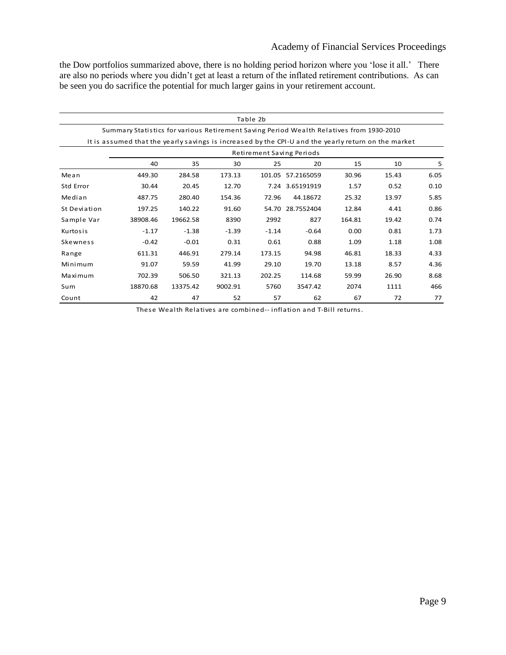## Academy of Financial Services Proceedings

the Dow portfolios summarized above, there is no holding period horizon where you 'lose it all.' There are also no periods where you didn't get at least a return of the inflated retirement contributions. As can be seen you do sacrifice the potential for much larger gains in your retirement account.

| Table 2b                                                                                            |                           |          |         |         |                   |        |       |      |  |  |  |
|-----------------------------------------------------------------------------------------------------|---------------------------|----------|---------|---------|-------------------|--------|-------|------|--|--|--|
| Summary Statistics for various Retirement Saving Period Wealth Relatives from 1930-2010             |                           |          |         |         |                   |        |       |      |  |  |  |
| It is assumed that the yearly savings is increased by the CPI-U and the yearly return on the market |                           |          |         |         |                   |        |       |      |  |  |  |
|                                                                                                     | Retirement Saving Periods |          |         |         |                   |        |       |      |  |  |  |
|                                                                                                     | 40                        | 35       | 30      | 25      | 20                | 15     | 10    | 5    |  |  |  |
| Mean                                                                                                | 449.30                    | 284.58   | 173.13  |         | 101.05 57.2165059 | 30.96  | 15.43 | 6.05 |  |  |  |
| Std Error                                                                                           | 30.44                     | 20.45    | 12.70   |         | 7.24 3.65191919   | 1.57   | 0.52  | 0.10 |  |  |  |
| Median                                                                                              | 487.75                    | 280.40   | 154.36  | 72.96   | 44.18672          | 25.32  | 13.97 | 5.85 |  |  |  |
| St Deviation                                                                                        | 197.25                    | 140.22   | 91.60   | 54.70   | 28.7552404        | 12.84  | 4.41  | 0.86 |  |  |  |
| Sample Var                                                                                          | 38908.46                  | 19662.58 | 8390    | 2992    | 827               | 164.81 | 19.42 | 0.74 |  |  |  |
| Kurtosis                                                                                            | $-1.17$                   | $-1.38$  | $-1.39$ | $-1.14$ | $-0.64$           | 0.00   | 0.81  | 1.73 |  |  |  |
| Skewness                                                                                            | $-0.42$                   | $-0.01$  | 0.31    | 0.61    | 0.88              | 1.09   | 1.18  | 1.08 |  |  |  |
| Range                                                                                               | 611.31                    | 446.91   | 279.14  | 173.15  | 94.98             | 46.81  | 18.33 | 4.33 |  |  |  |
| Minimum                                                                                             | 91.07                     | 59.59    | 41.99   | 29.10   | 19.70             | 13.18  | 8.57  | 4.36 |  |  |  |
| Maximum                                                                                             | 702.39                    | 506.50   | 321.13  | 202.25  | 114.68            | 59.99  | 26.90 | 8.68 |  |  |  |
| Sum                                                                                                 | 18870.68                  | 13375.42 | 9002.91 | 5760    | 3547.42           | 2074   | 1111  | 466  |  |  |  |
| Count                                                                                               | 42                        | 47       | 52      | 57      | 62                | 67     | 72    | 77   |  |  |  |

These Wealth Relatives are combined-- inflation and T-Bill returns.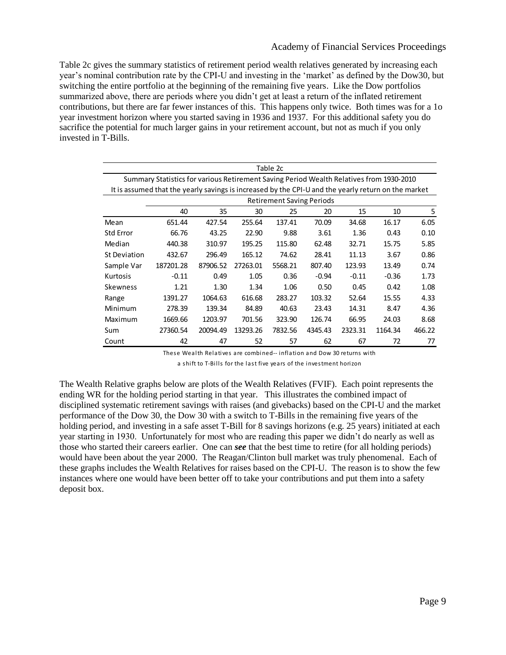Table 2c gives the summary statistics of retirement period wealth relatives generated by increasing each year's nominal contribution rate by the CPI-U and investing in the 'market' as defined by the Dow30, but switching the entire portfolio at the beginning of the remaining five years. Like the Dow portfolios summarized above, there are periods where you didn't get at least a return of the inflated retirement contributions, but there are far fewer instances of this. This happens only twice. Both times was for a 1o year investment horizon where you started saving in 1936 and 1937. For this additional safety you do sacrifice the potential for much larger gains in your retirement account, but not as much if you only invested in T-Bills.

| Table 2c                                                                                            |                                  |          |          |         |         |         |         |        |  |  |  |
|-----------------------------------------------------------------------------------------------------|----------------------------------|----------|----------|---------|---------|---------|---------|--------|--|--|--|
| Summary Statistics for various Retirement Saving Period Wealth Relatives from 1930-2010             |                                  |          |          |         |         |         |         |        |  |  |  |
| It is assumed that the yearly savings is increased by the CPI-U and the yearly return on the market |                                  |          |          |         |         |         |         |        |  |  |  |
|                                                                                                     | <b>Retirement Saving Periods</b> |          |          |         |         |         |         |        |  |  |  |
|                                                                                                     | 40                               | 35       | 30       | 25      | 20      | 15      | 10      | 5      |  |  |  |
| Mean                                                                                                | 651.44                           | 427.54   | 255.64   | 137.41  | 70.09   | 34.68   | 16.17   | 6.05   |  |  |  |
| <b>Std Error</b>                                                                                    | 66.76                            | 43.25    | 22.90    | 9.88    | 3.61    | 1.36    | 0.43    | 0.10   |  |  |  |
| Median                                                                                              | 440.38                           | 310.97   | 195.25   | 115.80  | 62.48   | 32.71   | 15.75   | 5.85   |  |  |  |
| St Deviation                                                                                        | 432.67                           | 296.49   | 165.12   | 74.62   | 28.41   | 11.13   | 3.67    | 0.86   |  |  |  |
| Sample Var                                                                                          | 187201.28                        | 87906.52 | 27263.01 | 5568.21 | 807.40  | 123.93  | 13.49   | 0.74   |  |  |  |
| Kurtosis                                                                                            | $-0.11$                          | 0.49     | 1.05     | 0.36    | $-0.94$ | $-0.11$ | $-0.36$ | 1.73   |  |  |  |
| <b>Skewness</b>                                                                                     | 1.21                             | 1.30     | 1.34     | 1.06    | 0.50    | 0.45    | 0.42    | 1.08   |  |  |  |
| Range                                                                                               | 1391.27                          | 1064.63  | 616.68   | 283.27  | 103.32  | 52.64   | 15.55   | 4.33   |  |  |  |
| Minimum                                                                                             | 278.39                           | 139.34   | 84.89    | 40.63   | 23.43   | 14.31   | 8.47    | 4.36   |  |  |  |
| Maximum                                                                                             | 1669.66                          | 1203.97  | 701.56   | 323.90  | 126.74  | 66.95   | 24.03   | 8.68   |  |  |  |
| Sum                                                                                                 | 27360.54                         | 20094.49 | 13293.26 | 7832.56 | 4345.43 | 2323.31 | 1164.34 | 466.22 |  |  |  |
| Count                                                                                               | 42                               | 47       | 52       | 57      | 62      | 67      | 72      | 77     |  |  |  |

These Wealth Relatives are combined-- inflation and Dow 30 returns with

a shift to T-Bills for the last five years of the investment horizon

The Wealth Relative graphs below are plots of the Wealth Relatives (FVIF). Each point represents the ending WR for the holding period starting in that year. This illustrates the combined impact of disciplined systematic retirement savings with raises (and givebacks) based on the CPI-U and the market performance of the Dow 30, the Dow 30 with a switch to T-Bills in the remaining five years of the holding period, and investing in a safe asset T-Bill for 8 savings horizons (e.g. 25 years) initiated at each year starting in 1930. Unfortunately for most who are reading this paper we didn't do nearly as well as those who started their careers earlier. One can *see* that the best time to retire (for all holding periods) would have been about the year 2000. The Reagan/Clinton bull market was truly phenomenal. Each of these graphs includes the Wealth Relatives for raises based on the CPI-U. The reason is to show the few instances where one would have been better off to take your contributions and put them into a safety deposit box.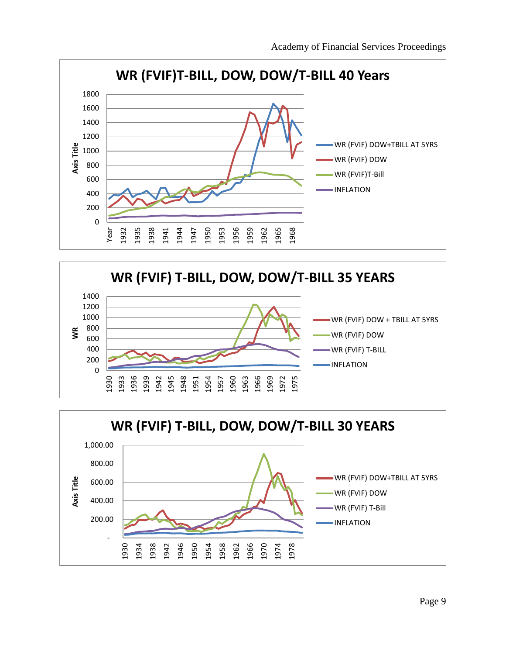



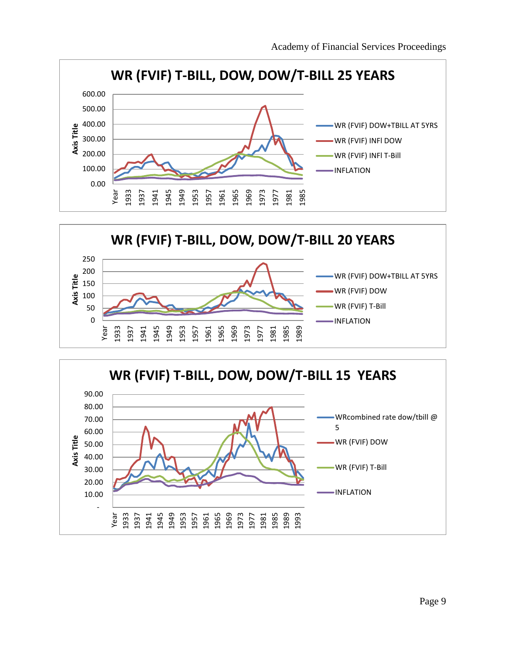



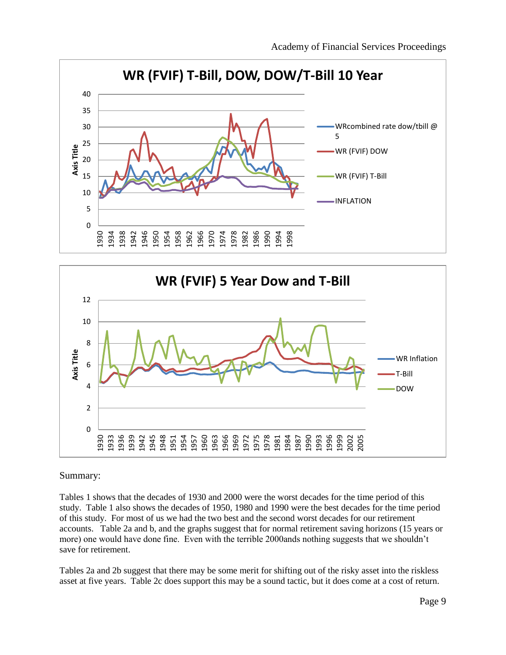



### Summary:

Tables 1 shows that the decades of 1930 and 2000 were the worst decades for the time period of this study. Table 1 also shows the decades of 1950, 1980 and 1990 were the best decades for the time period of this study. For most of us we had the two best and the second worst decades for our retirement accounts. Table 2a and b, and the graphs suggest that for normal retirement saving horizons (15 years or more) one would have done fine. Even with the terrible 2000ands nothing suggests that we shouldn't save for retirement.

Tables 2a and 2b suggest that there may be some merit for shifting out of the risky asset into the riskless asset at five years. Table 2c does support this may be a sound tactic, but it does come at a cost of return.